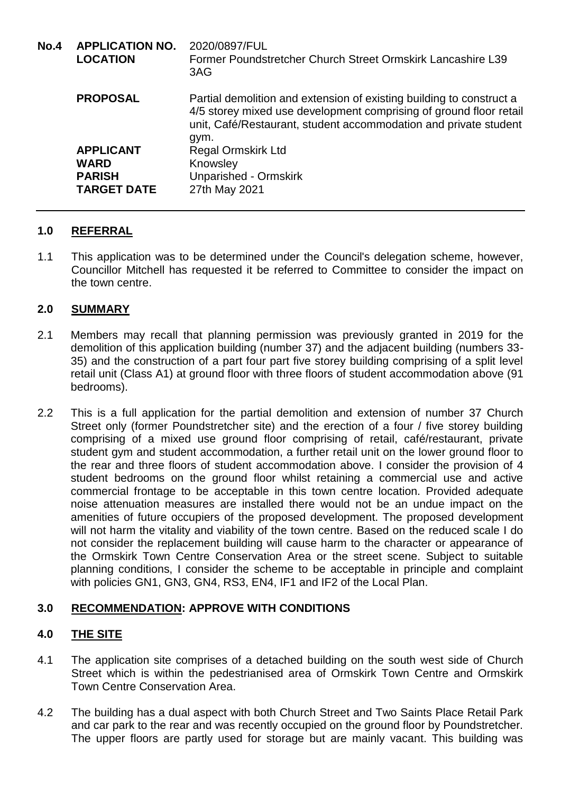| <b>No.4</b> | <b>APPLICATION NO.</b><br><b>LOCATION</b> | 2020/0897/FUL<br>Former Poundstretcher Church Street Ormskirk Lancashire L39<br>3AG                                                                                                                                    |
|-------------|-------------------------------------------|------------------------------------------------------------------------------------------------------------------------------------------------------------------------------------------------------------------------|
|             | <b>PROPOSAL</b>                           | Partial demolition and extension of existing building to construct a<br>4/5 storey mixed use development comprising of ground floor retail<br>unit, Café/Restaurant, student accommodation and private student<br>gym. |
|             | <b>APPLICANT</b>                          | <b>Regal Ormskirk Ltd</b>                                                                                                                                                                                              |
|             | <b>WARD</b>                               | Knowsley                                                                                                                                                                                                               |
|             | <b>PARISH</b>                             | <b>Unparished - Ormskirk</b>                                                                                                                                                                                           |
|             | <b>TARGET DATE</b>                        | 27th May 2021                                                                                                                                                                                                          |

### **1.0 REFERRAL**

1.1 This application was to be determined under the Council's delegation scheme, however, Councillor Mitchell has requested it be referred to Committee to consider the impact on the town centre.

### **2.0 SUMMARY**

- 2.1 Members may recall that planning permission was previously granted in 2019 for the demolition of this application building (number 37) and the adjacent building (numbers 33- 35) and the construction of a part four part five storey building comprising of a split level retail unit (Class A1) at ground floor with three floors of student accommodation above (91 bedrooms).
- 2.2 This is a full application for the partial demolition and extension of number 37 Church Street only (former Poundstretcher site) and the erection of a four / five storey building comprising of a mixed use ground floor comprising of retail, café/restaurant, private student gym and student accommodation, a further retail unit on the lower ground floor to the rear and three floors of student accommodation above. I consider the provision of 4 student bedrooms on the ground floor whilst retaining a commercial use and active commercial frontage to be acceptable in this town centre location. Provided adequate noise attenuation measures are installed there would not be an undue impact on the amenities of future occupiers of the proposed development. The proposed development will not harm the vitality and viability of the town centre. Based on the reduced scale I do not consider the replacement building will cause harm to the character or appearance of the Ormskirk Town Centre Conservation Area or the street scene. Subject to suitable planning conditions, I consider the scheme to be acceptable in principle and complaint with policies GN1, GN3, GN4, RS3, EN4, IF1 and IF2 of the Local Plan.

## **3.0 RECOMMENDATION: APPROVE WITH CONDITIONS**

### **4.0 THE SITE**

- 4.1 The application site comprises of a detached building on the south west side of Church Street which is within the pedestrianised area of Ormskirk Town Centre and Ormskirk Town Centre Conservation Area.
- 4.2 The building has a dual aspect with both Church Street and Two Saints Place Retail Park and car park to the rear and was recently occupied on the ground floor by Poundstretcher. The upper floors are partly used for storage but are mainly vacant. This building was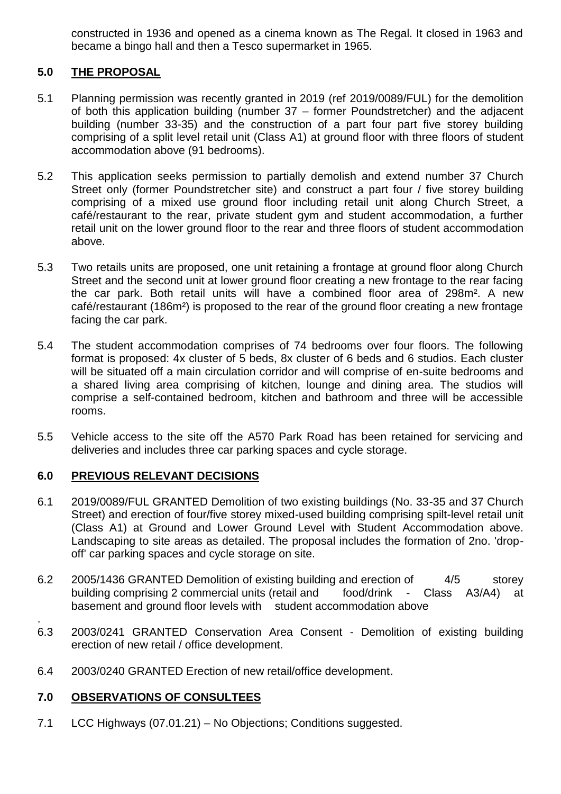constructed in 1936 and opened as a cinema known as The Regal. It closed in 1963 and became a bingo hall and then a Tesco supermarket in 1965.

## **5.0 THE PROPOSAL**

- 5.1 Planning permission was recently granted in 2019 (ref 2019/0089/FUL) for the demolition of both this application building (number 37 – former Poundstretcher) and the adjacent building (number 33-35) and the construction of a part four part five storey building comprising of a split level retail unit (Class A1) at ground floor with three floors of student accommodation above (91 bedrooms).
- 5.2 This application seeks permission to partially demolish and extend number 37 Church Street only (former Poundstretcher site) and construct a part four / five storey building comprising of a mixed use ground floor including retail unit along Church Street, a café/restaurant to the rear, private student gym and student accommodation, a further retail unit on the lower ground floor to the rear and three floors of student accommodation above.
- 5.3 Two retails units are proposed, one unit retaining a frontage at ground floor along Church Street and the second unit at lower ground floor creating a new frontage to the rear facing the car park. Both retail units will have a combined floor area of 298m². A new café/restaurant (186m²) is proposed to the rear of the ground floor creating a new frontage facing the car park.
- 5.4 The student accommodation comprises of 74 bedrooms over four floors. The following format is proposed: 4x cluster of 5 beds, 8x cluster of 6 beds and 6 studios. Each cluster will be situated off a main circulation corridor and will comprise of en-suite bedrooms and a shared living area comprising of kitchen, lounge and dining area. The studios will comprise a self-contained bedroom, kitchen and bathroom and three will be accessible rooms.
- 5.5 Vehicle access to the site off the A570 Park Road has been retained for servicing and deliveries and includes three car parking spaces and cycle storage.

## **6.0 PREVIOUS RELEVANT DECISIONS**

- 6.1 2019/0089/FUL GRANTED Demolition of two existing buildings (No. 33-35 and 37 Church Street) and erection of four/five storey mixed-used building comprising spilt-level retail unit (Class A1) at Ground and Lower Ground Level with Student Accommodation above. Landscaping to site areas as detailed. The proposal includes the formation of 2no. 'dropoff' car parking spaces and cycle storage on site.
- 6.2 2005/1436 GRANTED Demolition of existing building and erection of 4/5 storey building comprising 2 commercial units (retail and food/drink - Class A3/A4) at basement and ground floor levels with student accommodation above
- 6.3 2003/0241 GRANTED Conservation Area Consent Demolition of existing building erection of new retail / office development.
- 6.4 2003/0240 GRANTED Erection of new retail/office development.

### **7.0 OBSERVATIONS OF CONSULTEES**

.

7.1 LCC Highways (07.01.21) – No Objections; Conditions suggested.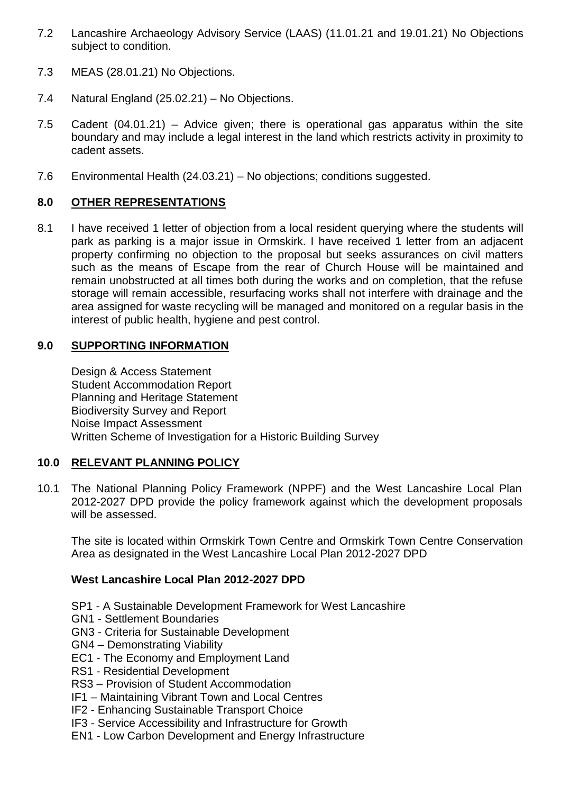- 7.2 Lancashire Archaeology Advisory Service (LAAS) (11.01.21 and 19.01.21) No Objections subject to condition.
- 7.3 MEAS (28.01.21) No Objections.
- 7.4 Natural England (25.02.21) No Objections.
- 7.5 Cadent (04.01.21) Advice given; there is operational gas apparatus within the site boundary and may include a legal interest in the land which restricts activity in proximity to cadent assets.
- 7.6 Environmental Health (24.03.21) No objections; conditions suggested.

# **8.0 OTHER REPRESENTATIONS**

8.1 I have received 1 letter of objection from a local resident querying where the students will park as parking is a major issue in Ormskirk. I have received 1 letter from an adjacent property confirming no objection to the proposal but seeks assurances on civil matters such as the means of Escape from the rear of Church House will be maintained and remain unobstructed at all times both during the works and on completion, that the refuse storage will remain accessible, resurfacing works shall not interfere with drainage and the area assigned for waste recycling will be managed and monitored on a regular basis in the interest of public health, hygiene and pest control.

## **9.0 SUPPORTING INFORMATION**

Design & Access Statement Student Accommodation Report Planning and Heritage Statement Biodiversity Survey and Report Noise Impact Assessment Written Scheme of Investigation for a Historic Building Survey

## **10.0 RELEVANT PLANNING POLICY**

10.1 The National Planning Policy Framework (NPPF) and the West Lancashire Local Plan 2012-2027 DPD provide the policy framework against which the development proposals will be assessed.

The site is located within Ormskirk Town Centre and Ormskirk Town Centre Conservation Area as designated in the West Lancashire Local Plan 2012-2027 DPD

## **West Lancashire Local Plan 2012-2027 DPD**

- SP1 A Sustainable Development Framework for West Lancashire
- GN1 Settlement Boundaries
- GN3 Criteria for Sustainable Development
- GN4 Demonstrating Viability
- EC1 The Economy and Employment Land
- RS1 Residential Development
- RS3 Provision of Student Accommodation
- IF1 Maintaining Vibrant Town and Local Centres
- IF2 Enhancing Sustainable Transport Choice
- IF3 Service Accessibility and Infrastructure for Growth
- EN1 Low Carbon Development and Energy Infrastructure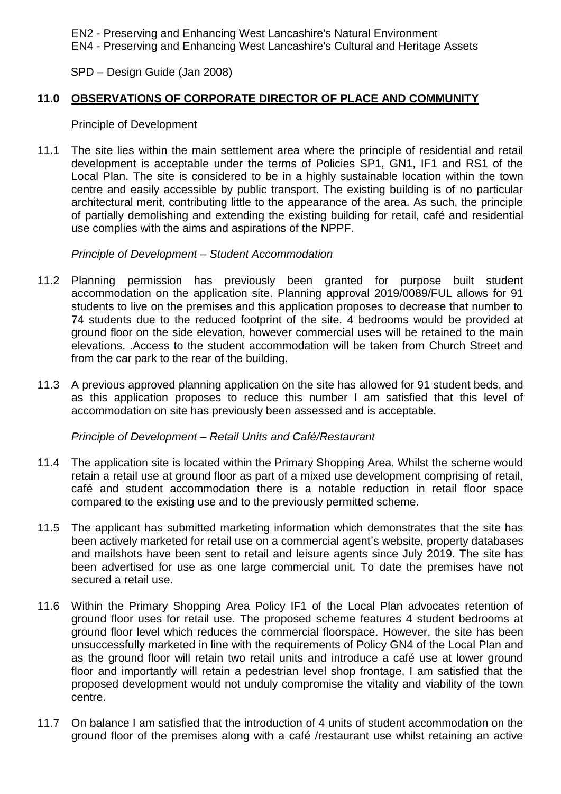EN2 - Preserving and Enhancing West Lancashire's Natural Environment

EN4 - Preserving and Enhancing West Lancashire's Cultural and Heritage Assets

SPD – Design Guide (Jan 2008)

### **11.0 OBSERVATIONS OF CORPORATE DIRECTOR OF PLACE AND COMMUNITY**

#### Principle of Development

11.1 The site lies within the main settlement area where the principle of residential and retail development is acceptable under the terms of Policies SP1, GN1, IF1 and RS1 of the Local Plan. The site is considered to be in a highly sustainable location within the town centre and easily accessible by public transport. The existing building is of no particular architectural merit, contributing little to the appearance of the area. As such, the principle of partially demolishing and extending the existing building for retail, café and residential use complies with the aims and aspirations of the NPPF.

#### *Principle of Development – Student Accommodation*

- 11.2 Planning permission has previously been granted for purpose built student accommodation on the application site. Planning approval 2019/0089/FUL allows for 91 students to live on the premises and this application proposes to decrease that number to 74 students due to the reduced footprint of the site. 4 bedrooms would be provided at ground floor on the side elevation, however commercial uses will be retained to the main elevations. .Access to the student accommodation will be taken from Church Street and from the car park to the rear of the building.
- 11.3 A previous approved planning application on the site has allowed for 91 student beds, and as this application proposes to reduce this number I am satisfied that this level of accommodation on site has previously been assessed and is acceptable.

#### *Principle of Development – Retail Units and Café/Restaurant*

- 11.4 The application site is located within the Primary Shopping Area. Whilst the scheme would retain a retail use at ground floor as part of a mixed use development comprising of retail, café and student accommodation there is a notable reduction in retail floor space compared to the existing use and to the previously permitted scheme.
- 11.5 The applicant has submitted marketing information which demonstrates that the site has been actively marketed for retail use on a commercial agent's website, property databases and mailshots have been sent to retail and leisure agents since July 2019. The site has been advertised for use as one large commercial unit. To date the premises have not secured a retail use.
- 11.6 Within the Primary Shopping Area Policy IF1 of the Local Plan advocates retention of ground floor uses for retail use. The proposed scheme features 4 student bedrooms at ground floor level which reduces the commercial floorspace. However, the site has been unsuccessfully marketed in line with the requirements of Policy GN4 of the Local Plan and as the ground floor will retain two retail units and introduce a café use at lower ground floor and importantly will retain a pedestrian level shop frontage, I am satisfied that the proposed development would not unduly compromise the vitality and viability of the town centre.
- 11.7 On balance I am satisfied that the introduction of 4 units of student accommodation on the ground floor of the premises along with a café /restaurant use whilst retaining an active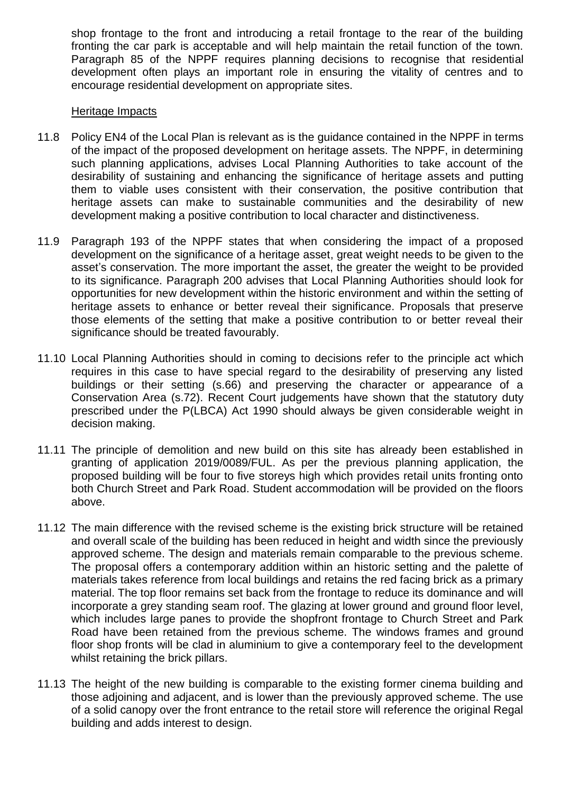shop frontage to the front and introducing a retail frontage to the rear of the building fronting the car park is acceptable and will help maintain the retail function of the town. Paragraph 85 of the NPPF requires planning decisions to recognise that residential development often plays an important role in ensuring the vitality of centres and to encourage residential development on appropriate sites.

### Heritage Impacts

- 11.8 Policy EN4 of the Local Plan is relevant as is the guidance contained in the NPPF in terms of the impact of the proposed development on heritage assets. The NPPF, in determining such planning applications, advises Local Planning Authorities to take account of the desirability of sustaining and enhancing the significance of heritage assets and putting them to viable uses consistent with their conservation, the positive contribution that heritage assets can make to sustainable communities and the desirability of new development making a positive contribution to local character and distinctiveness.
- 11.9 Paragraph 193 of the NPPF states that when considering the impact of a proposed development on the significance of a heritage asset, great weight needs to be given to the asset's conservation. The more important the asset, the greater the weight to be provided to its significance. Paragraph 200 advises that Local Planning Authorities should look for opportunities for new development within the historic environment and within the setting of heritage assets to enhance or better reveal their significance. Proposals that preserve those elements of the setting that make a positive contribution to or better reveal their significance should be treated favourably.
- 11.10 Local Planning Authorities should in coming to decisions refer to the principle act which requires in this case to have special regard to the desirability of preserving any listed buildings or their setting (s.66) and preserving the character or appearance of a Conservation Area (s.72). Recent Court judgements have shown that the statutory duty prescribed under the P(LBCA) Act 1990 should always be given considerable weight in decision making.
- 11.11 The principle of demolition and new build on this site has already been established in granting of application 2019/0089/FUL. As per the previous planning application, the proposed building will be four to five storeys high which provides retail units fronting onto both Church Street and Park Road. Student accommodation will be provided on the floors above.
- 11.12 The main difference with the revised scheme is the existing brick structure will be retained and overall scale of the building has been reduced in height and width since the previously approved scheme. The design and materials remain comparable to the previous scheme. The proposal offers a contemporary addition within an historic setting and the palette of materials takes reference from local buildings and retains the red facing brick as a primary material. The top floor remains set back from the frontage to reduce its dominance and will incorporate a grey standing seam roof. The glazing at lower ground and ground floor level, which includes large panes to provide the shopfront frontage to Church Street and Park Road have been retained from the previous scheme. The windows frames and ground floor shop fronts will be clad in aluminium to give a contemporary feel to the development whilst retaining the brick pillars.
- 11.13 The height of the new building is comparable to the existing former cinema building and those adjoining and adjacent, and is lower than the previously approved scheme. The use of a solid canopy over the front entrance to the retail store will reference the original Regal building and adds interest to design.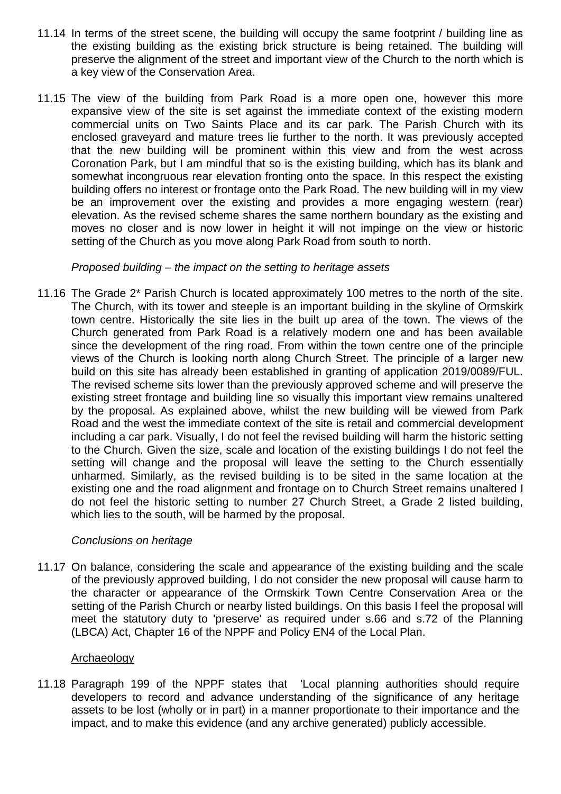- 11.14 In terms of the street scene, the building will occupy the same footprint / building line as the existing building as the existing brick structure is being retained. The building will preserve the alignment of the street and important view of the Church to the north which is a key view of the Conservation Area.
- 11.15 The view of the building from Park Road is a more open one, however this more expansive view of the site is set against the immediate context of the existing modern commercial units on Two Saints Place and its car park. The Parish Church with its enclosed graveyard and mature trees lie further to the north. It was previously accepted that the new building will be prominent within this view and from the west across Coronation Park, but I am mindful that so is the existing building, which has its blank and somewhat incongruous rear elevation fronting onto the space. In this respect the existing building offers no interest or frontage onto the Park Road. The new building will in my view be an improvement over the existing and provides a more engaging western (rear) elevation. As the revised scheme shares the same northern boundary as the existing and moves no closer and is now lower in height it will not impinge on the view or historic setting of the Church as you move along Park Road from south to north.

### *Proposed building – the impact on the setting to heritage assets*

11.16 The Grade 2\* Parish Church is located approximately 100 metres to the north of the site. The Church, with its tower and steeple is an important building in the skyline of Ormskirk town centre. Historically the site lies in the built up area of the town. The views of the Church generated from Park Road is a relatively modern one and has been available since the development of the ring road. From within the town centre one of the principle views of the Church is looking north along Church Street. The principle of a larger new build on this site has already been established in granting of application 2019/0089/FUL. The revised scheme sits lower than the previously approved scheme and will preserve the existing street frontage and building line so visually this important view remains unaltered by the proposal. As explained above, whilst the new building will be viewed from Park Road and the west the immediate context of the site is retail and commercial development including a car park. Visually, I do not feel the revised building will harm the historic setting to the Church. Given the size, scale and location of the existing buildings I do not feel the setting will change and the proposal will leave the setting to the Church essentially unharmed. Similarly, as the revised building is to be sited in the same location at the existing one and the road alignment and frontage on to Church Street remains unaltered I do not feel the historic setting to number 27 Church Street, a Grade 2 listed building, which lies to the south, will be harmed by the proposal.

### *Conclusions on heritage*

11.17 On balance, considering the scale and appearance of the existing building and the scale of the previously approved building, I do not consider the new proposal will cause harm to the character or appearance of the Ormskirk Town Centre Conservation Area or the setting of the Parish Church or nearby listed buildings. On this basis I feel the proposal will meet the statutory duty to 'preserve' as required under s.66 and s.72 of the Planning (LBCA) Act, Chapter 16 of the NPPF and Policy EN4 of the Local Plan.

### Archaeology

11.18 Paragraph 199 of the NPPF states that 'Local planning authorities should require developers to record and advance understanding of the significance of any heritage assets to be lost (wholly or in part) in a manner proportionate to their importance and the impact, and to make this evidence (and any archive generated) publicly accessible.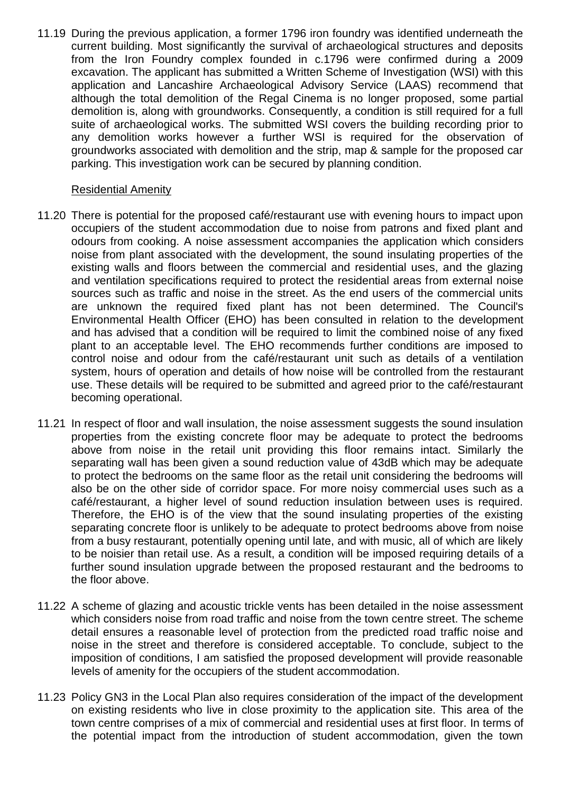11.19 During the previous application, a former 1796 iron foundry was identified underneath the current building. Most significantly the survival of archaeological structures and deposits from the Iron Foundry complex founded in c.1796 were confirmed during a 2009 excavation. The applicant has submitted a Written Scheme of Investigation (WSI) with this application and Lancashire Archaeological Advisory Service (LAAS) recommend that although the total demolition of the Regal Cinema is no longer proposed, some partial demolition is, along with groundworks. Consequently, a condition is still required for a full suite of archaeological works. The submitted WSI covers the building recording prior to any demolition works however a further WSI is required for the observation of groundworks associated with demolition and the strip, map & sample for the proposed car parking. This investigation work can be secured by planning condition.

### Residential Amenity

- 11.20 There is potential for the proposed café/restaurant use with evening hours to impact upon occupiers of the student accommodation due to noise from patrons and fixed plant and odours from cooking. A noise assessment accompanies the application which considers noise from plant associated with the development, the sound insulating properties of the existing walls and floors between the commercial and residential uses, and the glazing and ventilation specifications required to protect the residential areas from external noise sources such as traffic and noise in the street. As the end users of the commercial units are unknown the required fixed plant has not been determined. The Council's Environmental Health Officer (EHO) has been consulted in relation to the development and has advised that a condition will be required to limit the combined noise of any fixed plant to an acceptable level. The EHO recommends further conditions are imposed to control noise and odour from the café/restaurant unit such as details of a ventilation system, hours of operation and details of how noise will be controlled from the restaurant use. These details will be required to be submitted and agreed prior to the café/restaurant becoming operational.
- 11.21 In respect of floor and wall insulation, the noise assessment suggests the sound insulation properties from the existing concrete floor may be adequate to protect the bedrooms above from noise in the retail unit providing this floor remains intact. Similarly the separating wall has been given a sound reduction value of 43dB which may be adequate to protect the bedrooms on the same floor as the retail unit considering the bedrooms will also be on the other side of corridor space. For more noisy commercial uses such as a café/restaurant, a higher level of sound reduction insulation between uses is required. Therefore, the EHO is of the view that the sound insulating properties of the existing separating concrete floor is unlikely to be adequate to protect bedrooms above from noise from a busy restaurant, potentially opening until late, and with music, all of which are likely to be noisier than retail use. As a result, a condition will be imposed requiring details of a further sound insulation upgrade between the proposed restaurant and the bedrooms to the floor above.
- 11.22 A scheme of glazing and acoustic trickle vents has been detailed in the noise assessment which considers noise from road traffic and noise from the town centre street. The scheme detail ensures a reasonable level of protection from the predicted road traffic noise and noise in the street and therefore is considered acceptable. To conclude, subject to the imposition of conditions, I am satisfied the proposed development will provide reasonable levels of amenity for the occupiers of the student accommodation.
- 11.23 Policy GN3 in the Local Plan also requires consideration of the impact of the development on existing residents who live in close proximity to the application site. This area of the town centre comprises of a mix of commercial and residential uses at first floor. In terms of the potential impact from the introduction of student accommodation, given the town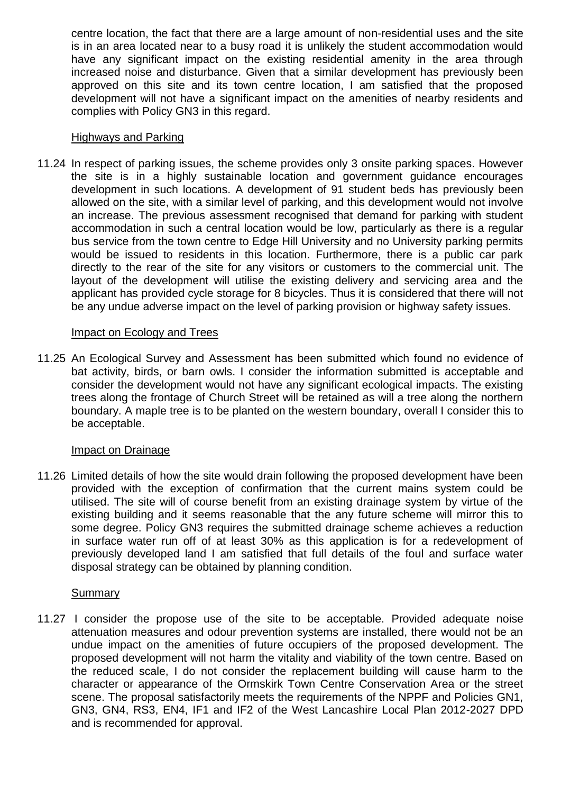centre location, the fact that there are a large amount of non-residential uses and the site is in an area located near to a busy road it is unlikely the student accommodation would have any significant impact on the existing residential amenity in the area through increased noise and disturbance. Given that a similar development has previously been approved on this site and its town centre location, I am satisfied that the proposed development will not have a significant impact on the amenities of nearby residents and complies with Policy GN3 in this regard.

### Highways and Parking

11.24 In respect of parking issues, the scheme provides only 3 onsite parking spaces. However the site is in a highly sustainable location and government guidance encourages development in such locations. A development of 91 student beds has previously been allowed on the site, with a similar level of parking, and this development would not involve an increase. The previous assessment recognised that demand for parking with student accommodation in such a central location would be low, particularly as there is a regular bus service from the town centre to Edge Hill University and no University parking permits would be issued to residents in this location. Furthermore, there is a public car park directly to the rear of the site for any visitors or customers to the commercial unit. The layout of the development will utilise the existing delivery and servicing area and the applicant has provided cycle storage for 8 bicycles. Thus it is considered that there will not be any undue adverse impact on the level of parking provision or highway safety issues.

#### Impact on Ecology and Trees

11.25 An Ecological Survey and Assessment has been submitted which found no evidence of bat activity, birds, or barn owls. I consider the information submitted is acceptable and consider the development would not have any significant ecological impacts. The existing trees along the frontage of Church Street will be retained as will a tree along the northern boundary. A maple tree is to be planted on the western boundary, overall I consider this to be acceptable.

### Impact on Drainage

11.26 Limited details of how the site would drain following the proposed development have been provided with the exception of confirmation that the current mains system could be utilised. The site will of course benefit from an existing drainage system by virtue of the existing building and it seems reasonable that the any future scheme will mirror this to some degree. Policy GN3 requires the submitted drainage scheme achieves a reduction in surface water run off of at least 30% as this application is for a redevelopment of previously developed land I am satisfied that full details of the foul and surface water disposal strategy can be obtained by planning condition.

### Summary

11.27 I consider the propose use of the site to be acceptable. Provided adequate noise attenuation measures and odour prevention systems are installed, there would not be an undue impact on the amenities of future occupiers of the proposed development. The proposed development will not harm the vitality and viability of the town centre. Based on the reduced scale, I do not consider the replacement building will cause harm to the character or appearance of the Ormskirk Town Centre Conservation Area or the street scene. The proposal satisfactorily meets the requirements of the NPPF and Policies GN1, GN3, GN4, RS3, EN4, IF1 and IF2 of the West Lancashire Local Plan 2012-2027 DPD and is recommended for approval.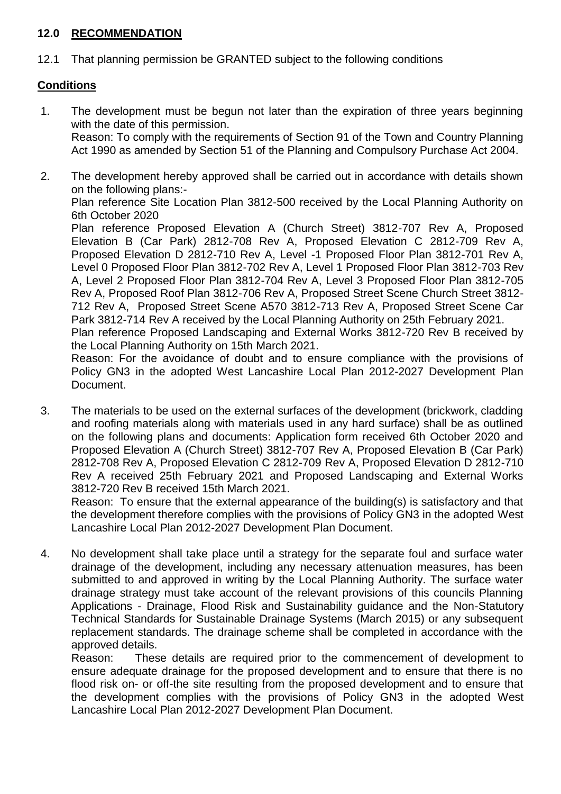### **12.0 RECOMMENDATION**

12.1 That planning permission be GRANTED subject to the following conditions

## **Conditions**

1. The development must be begun not later than the expiration of three years beginning with the date of this permission.

Reason: To comply with the requirements of Section 91 of the Town and Country Planning Act 1990 as amended by Section 51 of the Planning and Compulsory Purchase Act 2004.

- 2. The development hereby approved shall be carried out in accordance with details shown on the following plans:- Plan reference Site Location Plan 3812-500 received by the Local Planning Authority on 6th October 2020 Plan reference Proposed Elevation A (Church Street) 3812-707 Rev A, Proposed Elevation B (Car Park) 2812-708 Rev A, Proposed Elevation C 2812-709 Rev A, Proposed Elevation D 2812-710 Rev A, Level -1 Proposed Floor Plan 3812-701 Rev A, Level 0 Proposed Floor Plan 3812-702 Rev A, Level 1 Proposed Floor Plan 3812-703 Rev A, Level 2 Proposed Floor Plan 3812-704 Rev A, Level 3 Proposed Floor Plan 3812-705 Rev A, Proposed Roof Plan 3812-706 Rev A, Proposed Street Scene Church Street 3812- 712 Rev A, Proposed Street Scene A570 3812-713 Rev A, Proposed Street Scene Car Park 3812-714 Rev A received by the Local Planning Authority on 25th February 2021. Plan reference Proposed Landscaping and External Works 3812-720 Rev B received by the Local Planning Authority on 15th March 2021. Reason: For the avoidance of doubt and to ensure compliance with the provisions of Policy GN3 in the adopted West Lancashire Local Plan 2012-2027 Development Plan Document.
- 3. The materials to be used on the external surfaces of the development (brickwork, cladding and roofing materials along with materials used in any hard surface) shall be as outlined on the following plans and documents: Application form received 6th October 2020 and Proposed Elevation A (Church Street) 3812-707 Rev A, Proposed Elevation B (Car Park) 2812-708 Rev A, Proposed Elevation C 2812-709 Rev A, Proposed Elevation D 2812-710 Rev A received 25th February 2021 and Proposed Landscaping and External Works 3812-720 Rev B received 15th March 2021.

Reason: To ensure that the external appearance of the building(s) is satisfactory and that the development therefore complies with the provisions of Policy GN3 in the adopted West Lancashire Local Plan 2012-2027 Development Plan Document.

4. No development shall take place until a strategy for the separate foul and surface water drainage of the development, including any necessary attenuation measures, has been submitted to and approved in writing by the Local Planning Authority. The surface water drainage strategy must take account of the relevant provisions of this councils Planning Applications - Drainage, Flood Risk and Sustainability guidance and the Non-Statutory Technical Standards for Sustainable Drainage Systems (March 2015) or any subsequent replacement standards. The drainage scheme shall be completed in accordance with the approved details.

Reason: These details are required prior to the commencement of development to ensure adequate drainage for the proposed development and to ensure that there is no flood risk on- or off-the site resulting from the proposed development and to ensure that the development complies with the provisions of Policy GN3 in the adopted West Lancashire Local Plan 2012-2027 Development Plan Document.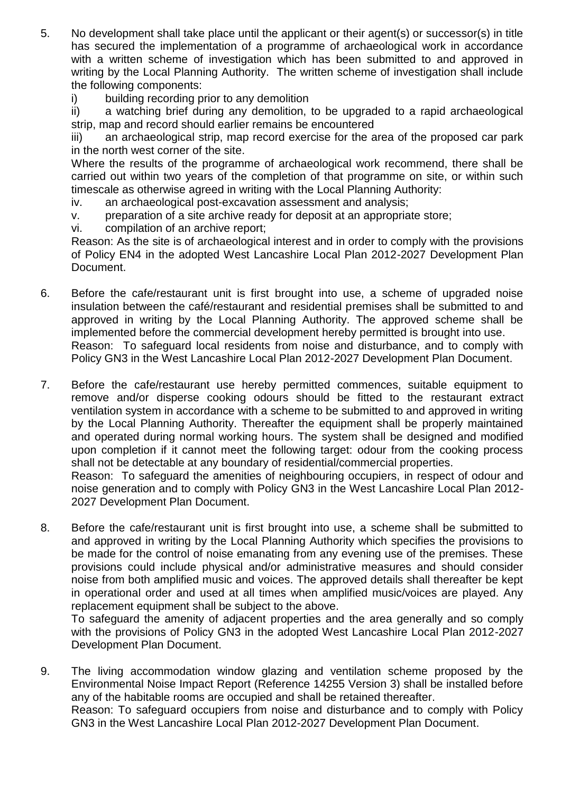- 5. No development shall take place until the applicant or their agent(s) or successor(s) in title has secured the implementation of a programme of archaeological work in accordance with a written scheme of investigation which has been submitted to and approved in writing by the Local Planning Authority. The written scheme of investigation shall include the following components:
	- i) building recording prior to any demolition

ii) a watching brief during any demolition, to be upgraded to a rapid archaeological strip, map and record should earlier remains be encountered

iii) an archaeological strip, map record exercise for the area of the proposed car park in the north west corner of the site.

Where the results of the programme of archaeological work recommend, there shall be carried out within two years of the completion of that programme on site, or within such timescale as otherwise agreed in writing with the Local Planning Authority:

- iv. an archaeological post-excavation assessment and analysis;
- v. preparation of a site archive ready for deposit at an appropriate store;
- vi. compilation of an archive report;

Reason: As the site is of archaeological interest and in order to comply with the provisions of Policy EN4 in the adopted West Lancashire Local Plan 2012-2027 Development Plan Document.

- 6. Before the cafe/restaurant unit is first brought into use, a scheme of upgraded noise insulation between the café/restaurant and residential premises shall be submitted to and approved in writing by the Local Planning Authority. The approved scheme shall be implemented before the commercial development hereby permitted is brought into use. Reason: To safeguard local residents from noise and disturbance, and to comply with Policy GN3 in the West Lancashire Local Plan 2012-2027 Development Plan Document.
- 7. Before the cafe/restaurant use hereby permitted commences, suitable equipment to remove and/or disperse cooking odours should be fitted to the restaurant extract ventilation system in accordance with a scheme to be submitted to and approved in writing by the Local Planning Authority. Thereafter the equipment shall be properly maintained and operated during normal working hours. The system shall be designed and modified upon completion if it cannot meet the following target: odour from the cooking process shall not be detectable at any boundary of residential/commercial properties. Reason: To safeguard the amenities of neighbouring occupiers, in respect of odour and

noise generation and to comply with Policy GN3 in the West Lancashire Local Plan 2012- 2027 Development Plan Document.

8. Before the cafe/restaurant unit is first brought into use, a scheme shall be submitted to and approved in writing by the Local Planning Authority which specifies the provisions to be made for the control of noise emanating from any evening use of the premises. These provisions could include physical and/or administrative measures and should consider noise from both amplified music and voices. The approved details shall thereafter be kept in operational order and used at all times when amplified music/voices are played. Any replacement equipment shall be subject to the above.

To safeguard the amenity of adjacent properties and the area generally and so comply with the provisions of Policy GN3 in the adopted West Lancashire Local Plan 2012-2027 Development Plan Document.

9. The living accommodation window glazing and ventilation scheme proposed by the Environmental Noise Impact Report (Reference 14255 Version 3) shall be installed before any of the habitable rooms are occupied and shall be retained thereafter. Reason: To safeguard occupiers from noise and disturbance and to comply with Policy GN3 in the West Lancashire Local Plan 2012-2027 Development Plan Document.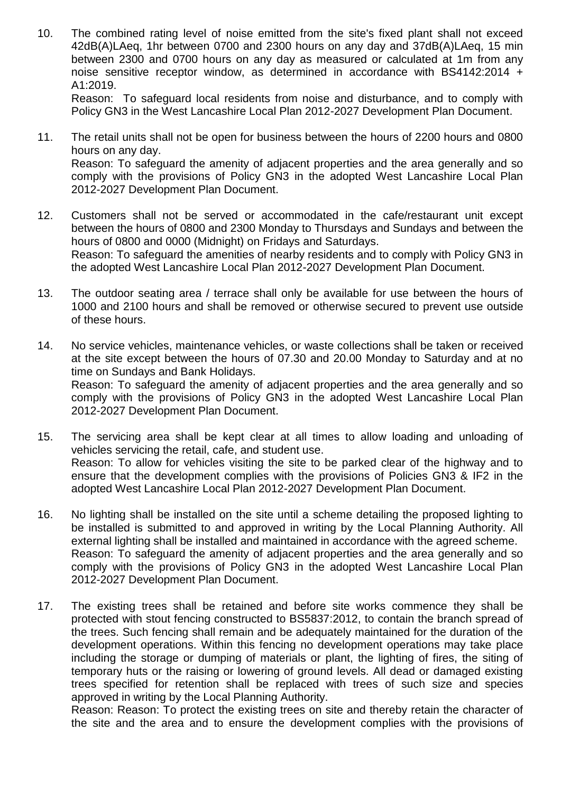10. The combined rating level of noise emitted from the site's fixed plant shall not exceed 42dB(A)LAeq, 1hr between 0700 and 2300 hours on any day and 37dB(A)LAeq, 15 min between 2300 and 0700 hours on any day as measured or calculated at 1m from any noise sensitive receptor window, as determined in accordance with BS4142:2014 + A1:2019.

Reason: To safeguard local residents from noise and disturbance, and to comply with Policy GN3 in the West Lancashire Local Plan 2012-2027 Development Plan Document.

- 11. The retail units shall not be open for business between the hours of 2200 hours and 0800 hours on any day. Reason: To safeguard the amenity of adjacent properties and the area generally and so comply with the provisions of Policy GN3 in the adopted West Lancashire Local Plan 2012-2027 Development Plan Document.
- 12. Customers shall not be served or accommodated in the cafe/restaurant unit except between the hours of 0800 and 2300 Monday to Thursdays and Sundays and between the hours of 0800 and 0000 (Midnight) on Fridays and Saturdays. Reason: To safeguard the amenities of nearby residents and to comply with Policy GN3 in the adopted West Lancashire Local Plan 2012-2027 Development Plan Document.
- 13. The outdoor seating area / terrace shall only be available for use between the hours of 1000 and 2100 hours and shall be removed or otherwise secured to prevent use outside of these hours.
- 14. No service vehicles, maintenance vehicles, or waste collections shall be taken or received at the site except between the hours of 07.30 and 20.00 Monday to Saturday and at no time on Sundays and Bank Holidays. Reason: To safeguard the amenity of adjacent properties and the area generally and so comply with the provisions of Policy GN3 in the adopted West Lancashire Local Plan 2012-2027 Development Plan Document.
- 15. The servicing area shall be kept clear at all times to allow loading and unloading of vehicles servicing the retail, cafe, and student use. Reason: To allow for vehicles visiting the site to be parked clear of the highway and to ensure that the development complies with the provisions of Policies GN3 & IF2 in the adopted West Lancashire Local Plan 2012-2027 Development Plan Document.
- 16. No lighting shall be installed on the site until a scheme detailing the proposed lighting to be installed is submitted to and approved in writing by the Local Planning Authority. All external lighting shall be installed and maintained in accordance with the agreed scheme. Reason: To safeguard the amenity of adjacent properties and the area generally and so comply with the provisions of Policy GN3 in the adopted West Lancashire Local Plan 2012-2027 Development Plan Document.
- 17. The existing trees shall be retained and before site works commence they shall be protected with stout fencing constructed to BS5837:2012, to contain the branch spread of the trees. Such fencing shall remain and be adequately maintained for the duration of the development operations. Within this fencing no development operations may take place including the storage or dumping of materials or plant, the lighting of fires, the siting of temporary huts or the raising or lowering of ground levels. All dead or damaged existing trees specified for retention shall be replaced with trees of such size and species approved in writing by the Local Planning Authority.

Reason: Reason: To protect the existing trees on site and thereby retain the character of the site and the area and to ensure the development complies with the provisions of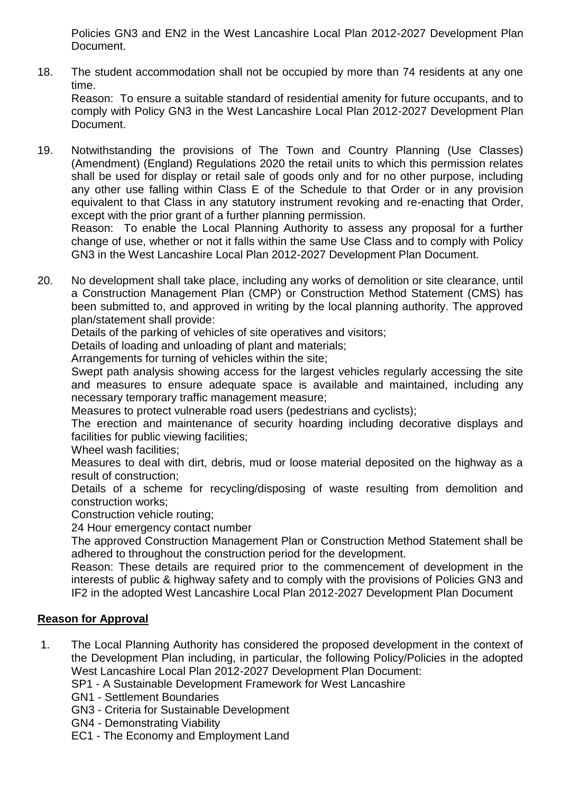Policies GN3 and EN2 in the West Lancashire Local Plan 2012-2027 Development Plan Document.

18. The student accommodation shall not be occupied by more than 74 residents at any one time.

Reason: To ensure a suitable standard of residential amenity for future occupants, and to comply with Policy GN3 in the West Lancashire Local Plan 2012-2027 Development Plan Document.

19. Notwithstanding the provisions of The Town and Country Planning (Use Classes) (Amendment) (England) Regulations 2020 the retail units to which this permission relates shall be used for display or retail sale of goods only and for no other purpose, including any other use falling within Class E of the Schedule to that Order or in any provision equivalent to that Class in any statutory instrument revoking and re-enacting that Order, except with the prior grant of a further planning permission.

Reason: To enable the Local Planning Authority to assess any proposal for a further change of use, whether or not it falls within the same Use Class and to comply with Policy GN3 in the West Lancashire Local Plan 2012-2027 Development Plan Document.

20. No development shall take place, including any works of demolition or site clearance, until a Construction Management Plan (CMP) or Construction Method Statement (CMS) has been submitted to, and approved in writing by the local planning authority. The approved plan/statement shall provide:

Details of the parking of vehicles of site operatives and visitors;

Details of loading and unloading of plant and materials;

Arrangements for turning of vehicles within the site;

Swept path analysis showing access for the largest vehicles regularly accessing the site and measures to ensure adequate space is available and maintained, including any necessary temporary traffic management measure;

Measures to protect vulnerable road users (pedestrians and cyclists);

The erection and maintenance of security hoarding including decorative displays and facilities for public viewing facilities;

Wheel wash facilities:

Measures to deal with dirt, debris, mud or loose material deposited on the highway as a result of construction;

Details of a scheme for recycling/disposing of waste resulting from demolition and construction works;

Construction vehicle routing;

24 Hour emergency contact number

The approved Construction Management Plan or Construction Method Statement shall be adhered to throughout the construction period for the development.

Reason: These details are required prior to the commencement of development in the interests of public & highway safety and to comply with the provisions of Policies GN3 and IF2 in the adopted West Lancashire Local Plan 2012-2027 Development Plan Document

## **Reason for Approval**

1. The Local Planning Authority has considered the proposed development in the context of the Development Plan including, in particular, the following Policy/Policies in the adopted West Lancashire Local Plan 2012-2027 Development Plan Document:

SP1 - A Sustainable Development Framework for West Lancashire

- GN1 Settlement Boundaries
- GN3 Criteria for Sustainable Development
- GN4 Demonstrating Viability
- EC1 The Economy and Employment Land